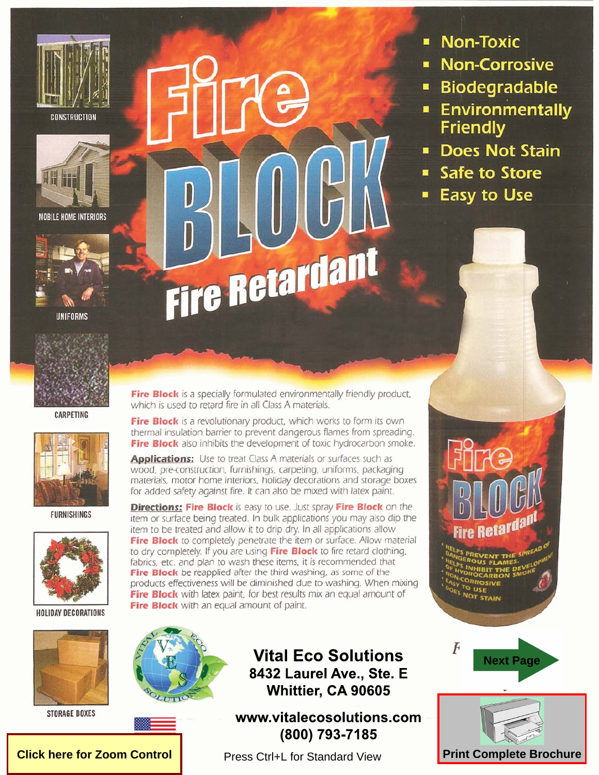



**MOBILE HOME INTERIORS** 





**CARPETING** 



**FURNISHINGS** 



**HOLIDAY DECORATIONS** 



**STORAGE BOXES** 

# Fire Retardant

- **Non-Toxic** п
- **Non-Corrosive**
- **Biodegradable** Ξ
- **Environmentally**  $\blacksquare$ **Friendly**
- **Does Not Stain**
- **Safe to Store**  $\blacksquare$
- **Easy to Use**

Fire Block is a specially formulated environmentally friendly product, which is used to retard fire in all Class A materials.

Fire Block is a revolutionary product, which works to form its own thermal insulation barrier to prevent dangerous flames from spreading. Fire Block also inhibits the development of toxic hydrocarbon smoke.

**Applications:** Use to treat Class A materials or surfaces such as wood, pre-construction, furnishings, carpeting, uniforms, packaging materials, motor home interiors, holiday decorations and storage boxes for added safety against fire. It can also be mixed with latex paint.

**Directions: Fire Block** is easy to use. Just spray Fire Block on the item or surface being treated. In bulk applications you may also dip the item to be treated and allow it to drip dry. In all applications allow Fire Block to completely penetrate the item or surface. Allow material to dry completely. If you are using Fire Block to fire retard clothing, fabrics, etc. and plan to wash these items, it is recommended that Fire Block be reapplied after the third washing, as some of the products effectiveness will be diminished due to washing. When mixing Fire Block with latex paint, for best results mix an equal amount of Fire Block with an equal amount of paint.



**Click here for Zoom Control** 



www.vitalecosolutions.com (800) 793-7185

Press Ctrl+L for Standard View



**Tre Retarda** 

**ORROSIVE** 

**NOT STAIN** 

<sup>לס</sup> הזב



**Print Complete Brochure**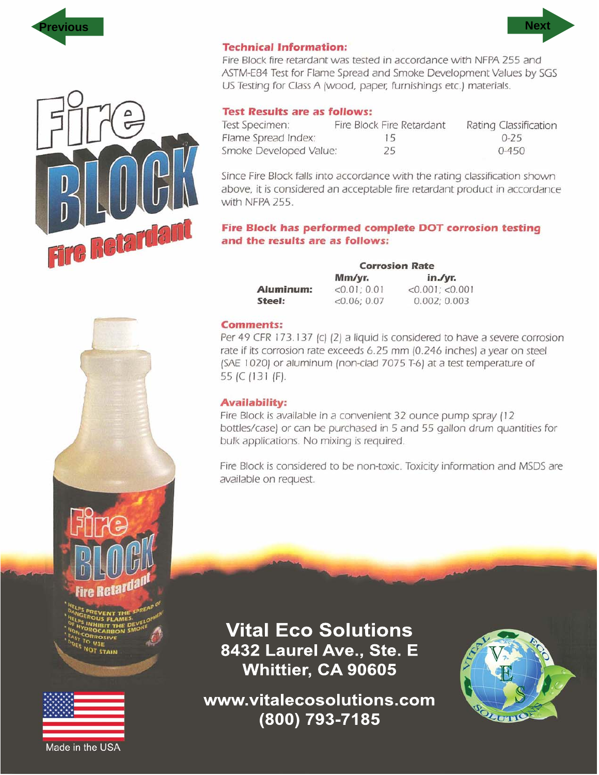



# **Technical Information:**

Fire Block fire retardant was tested in accordance with NFPA 255 and ASTM-E84 Test for Flame Spread and Smoke Development Values by SGS US Testing for Class A (wood, paper, furnishings etc.) materials.

# **Test Results are as follows:**

| Test Specimen:         | Fire Block Fire Retardant | Rating Classification |
|------------------------|---------------------------|-----------------------|
| Flame Spread Index:    | 15                        | $0 - 25$              |
| Smoke Developed Value: | 25                        | $0 - 450$             |

Since Fire Block falls into accordance with the rating classification shown above, it is considered an acceptable fire retardant product in accordance with NFPA 255.

# Fire Block has performed complete DOT corrosion testing and the results are as follows:

**Corrosion Rate** Mm/yr.  $in./yr.$ Aluminum:  $<0.01; 0.01$  $<0.001$ ;  $<0.001$ Steel:  $<0.06; 0.07$  $0.002; 0.003$ 

### **Comments:**

Per 49 CFR 173.137 (c) (2) a liquid is considered to have a severe corrosion rate if its corrosion rate exceeds 6.25 mm (0.246 inches) a year on steel (SAE 1020) or aluminum (non-clad 7075 T-6) at a test temperature of 55 (C (131 (F).

### **Availability:**

Fire Block is available in a convenient 32 ounce pump spray (12) bottles/case) or can be purchased in 5 and 55 gallon drum quantities for bulk applications. No mixing is required.

Fire Block is considered to be non-toxic. Toxicity information and MSDS are available on request.

**Vital Eco Solutions** 8432 Laurel Ave., Ste. E Whittier, CA 90605

www.vitalecosolutions.com (800) 793-7185







**STAIN** 



Made in the USA